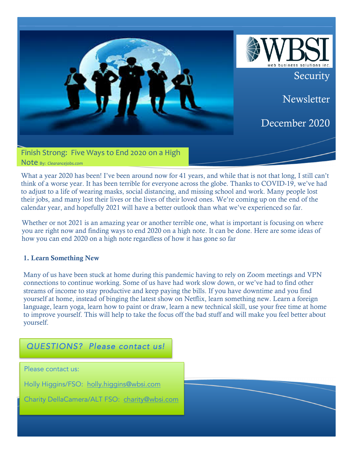

What a year 2020 has been! I've been around now for 41 years, and while that is not that long, I still can't think of a worse year. It has been terrible for everyone across the globe. Thanks to COVID-19, we've had to adjust to a life of wearing masks, social distancing, and missing school and work. Many people lost their jobs, and many lost their lives or the lives of their loved ones. We're coming up on the end of the calendar year, and hopefully 2021 will have a better outlook than what we've experienced so far.

Whether or not 2021 is an amazing year or another terrible one, what is important is focusing on where you are right now and finding ways to end 2020 on a high note. It can be done. Here are some ideas of how you can end 2020 on a high note regardless of how it has gone so far

# 1. Learn Something New

Many of us have been stuck at home during this pandemic having to rely on Zoom meetings and VPN connections to continue working. Some of us have had work slow down, or we've had to find other streams of income to stay productive and keep paying the bills. If you have downtime and you find yourself at home, instead of binging the latest show on Netflix, learn something new. Learn a foreign language, learn yoga, learn how to paint or draw, learn a new technical skill, use your free time at home to improve yourself. This will help to take the focus off the bad stuff and will make you feel better about yourself.

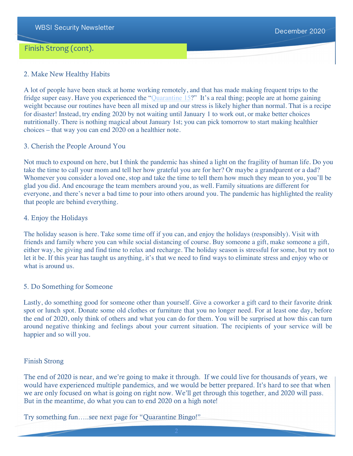# Finish Strong (cont).

### 2. Make New Healthy Habits

A lot of people have been stuck at home working remotely, and that has made making frequent trips to the fridge super easy. Have you experienced the "Quarantine 15?" It's a real thing; people are at home gaining weight because our routines have been all mixed up and our stress is likely higher than normal. That is a recipe for disaster! Instead, try ending 2020 by not waiting until January 1 to work out, or make better choices nutritionally. There is nothing magical about January 1st; you can pick tomorrow to start making healthier choices – that way you can end 2020 on a healthier note.

#### 3. Cherish the People Around You

Not much to expound on here, but I think the pandemic has shined a light on the fragility of human life. Do you take the time to call your mom and tell her how grateful you are for her? Or maybe a grandparent or a dad? Whomever you consider a loved one, stop and take the time to tell them how much they mean to you, you'll be glad you did. And encourage the team members around you, as well. Family situations are different for everyone, and there's never a bad time to pour into others around you. The pandemic has highlighted the reality that people are behind everything.

#### 4. Enjoy the Holidays

The holiday season is here. Take some time off if you can, and enjoy the holidays (responsibly). Visit with friends and family where you can while social distancing of course. Buy someone a gift, make someone a gift, either way, be giving and find time to relax and recharge. The holiday season is stressful for some, but try not to let it be. If this year has taught us anything, it's that we need to find ways to eliminate stress and enjoy who or what is around us.

# 5. Do Something for Someone

Lastly, do something good for someone other than yourself. Give a coworker a gift card to their favorite drink spot or lunch spot. Donate some old clothes or furniture that you no longer need. For at least one day, before the end of 2020, only think of others and what you can do for them. You will be surprised at how this can turn around negative thinking and feelings about your current situation. The recipients of your service will be happier and so will you.

# Finish Strong

The end of 2020 is near, and we're going to make it through. If we could live for thousands of years, we would have experienced multiple pandemics, and we would be better prepared. It's hard to see that when we are only focused on what is going on right now. We'll get through this together, and 2020 will pass. But in the meantime, do what you can to end 2020 on a high note!

Try something fun…..see next page for "Quarantine Bingo!"